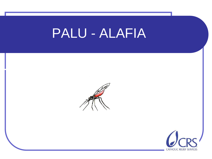### PALU - ALAFIA

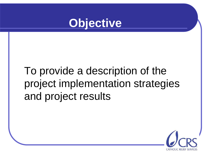

### To provide a description of the project implementation strategies and project results

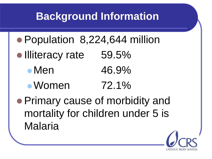### **Background Information**

- Population 8,224,644 million
- Illiteracy rate 59.5%
	- Men 46.9%
	- Women 72.1%
- Primary cause of morbidity and mortality for children under 5 is Malaria

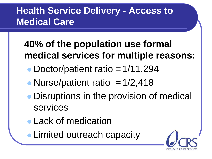#### **Health Service Delivery - Access to Medical Care**

### **40% of the population use formal medical services for multiple reasons:**

- Doctor/patient ratio  $=1/11,294$
- Nurse/patient ratio  $=1/2,418$
- Disruptions in the provision of medical services
- **Lack of medication**
- **Limited outreach capacity**

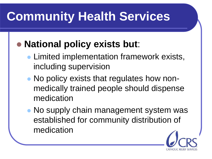# **Community Health Services**

### **National policy exists but**:

- Limited implementation framework exists, including supervision
- No policy exists that regulates how nonmedically trained people should dispense medication
- No supply chain management system was established for community distribution of medication

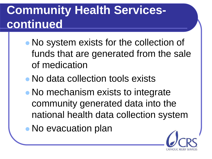### **Community Health Servicescontinued**

- No system exists for the collection of funds that are generated from the sale of medication
- No data collection tools exists
- No mechanism exists to integrate community generated data into the national health data collection system
- No evacuation plan

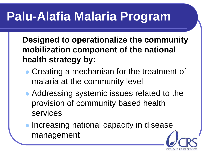# **Palu-Alafia Malaria Program**

**Designed to operationalize the community mobilization component of the national health strategy by:**

- Creating a mechanism for the treatment of malaria at the community level
- Addressing systemic issues related to the provision of community based health services
- **Increasing national capacity in disease** management

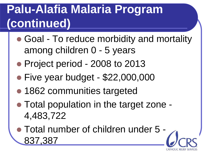## **Palu-Alafia Malaria Program (continued)**

- Goal To reduce morbidity and mortality among children 0 - 5 years
- Project period 2008 to 2013
- Five year budget \$22,000,000
- **1862 communities targeted**
- Total population in the target zone 4,483,722
- Total number of children under 5 837,387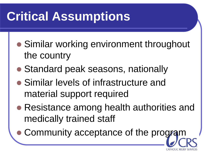# **Critical Assumptions**

- Similar working environment throughout the country
- Standard peak seasons, nationally
- Similar levels of infrastructure and material support required
- Resistance among health authorities and medically trained staff
	- Community acceptance of the program

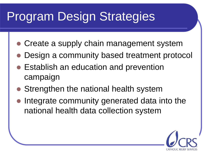# Program Design Strategies

- Create a supply chain management system
- Design a community based treatment protocol
- **Establish an education and prevention** campaign
- Strengthen the national health system
- Integrate community generated data into the national health data collection system

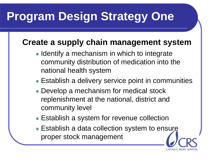## **Program Design Strategy One**

#### **Create a supply chain management system**

- Identify a mechanism in which to integrate community distribution of medication into the national health system
- Establish a delivery service point in communities
- Develop a mechanism for medical stock replenishment at the national, district and community level
- Establish a system for revenue collection
- **Establish a data collection system to ensure** proper stock management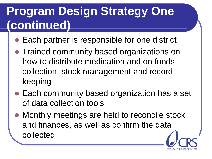### **Program Design Strategy One (continued)**

- Each partner is responsible for one district
- Trained community based organizations on how to distribute medication and on funds collection, stock management and record keeping
- Each community based organization has a set of data collection tools
- Monthly meetings are held to reconcile stock and finances, as well as confirm the data collected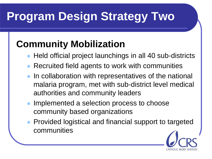# **Program Design Strategy Two**

### **Community Mobilization**

- Held official project launchings in all 40 sub-districts
- Recruited field agents to work with communities
- In collaboration with representatives of the national malaria program, met with sub-district level medical authorities and community leaders
- Implemented a selection process to choose community based organizations
- Provided logistical and financial support to targeted communities

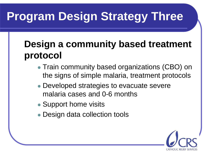# **Program Design Strategy Three**

### **Design a community based treatment protocol**

- Train community based organizations (CBO) on the signs of simple malaria, treatment protocols
- Developed strategies to evacuate severe malaria cases and 0-6 months
- Support home visits
- Design data collection tools

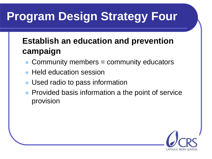# **Program Design Strategy Four**

#### **Establish an education and prevention campaign**

- Community members = community educators
- Held education session
- Used radio to pass information
- Provided basis information a the point of service provision

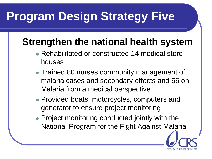# **Program Design Strategy Five**

### **Strengthen the national health system**

- Rehabilitated or constructed 14 medical store houses
- Trained 80 nurses community management of malaria cases and secondary effects and 56 on Malaria from a medical perspective
- Provided boats, motorcycles, computers and generator to ensure project monitoring
- Project monitoring conducted jointly with the National Program for the Fight Against Malaria

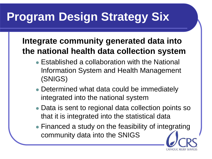## **Program Design Strategy Six**

#### **Integrate community generated data into the national health data collection system**

- Established a collaboration with the National Information System and Health Management (SNIGS)
- Determined what data could be immediately integrated into the national system
- Data is sent to regional data collection points so that it is integrated into the statistical data
- Financed a study on the feasibility of integrating community data into the SNIGS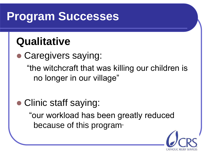### **Program Successes**

### **Qualitative**

 Caregivers saying: "the witchcraft that was killing our children is no longer in our village"

• Clinic staff saying:

"our workload has been greatly reduced because of this program"

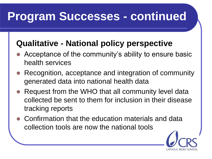### **Program Successes - continued**

#### **Qualitative - National policy perspective**

- Acceptance of the community's ability to ensure basic health services
- Recognition, acceptance and integration of community generated data into national health data
- Request from the WHO that all community level data collected be sent to them for inclusion in their disease tracking reports
- Confirmation that the education materials and data collection tools are now the national tools

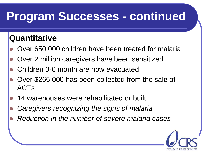### **Program Successes - continued**

#### **Quantitative**

- Over 650,000 children have been treated for malaria
- Over 2 million caregivers have been sensitized
- Children 0-6 month are now evacuated
- Over \$265,000 has been collected from the sale of ACTs
- 14 warehouses were rehabilitated or built
- *Caregivers recognizing the signs of malaria*
- *Reduction in the number of severe malaria cases*